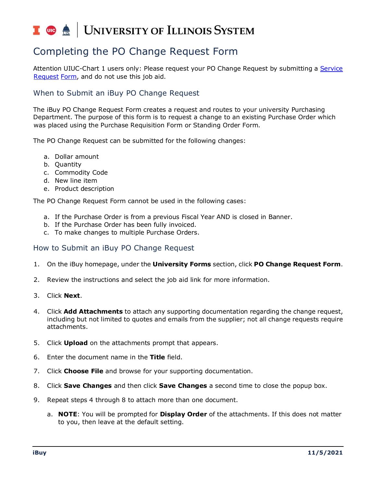# UNIVERSITY OF ILLINOIS SYSTEM I die <u>e</u>

# Completing the PO Change Request Form

Attention UIUC-Chart 1 users only: Please request your PO Change Request by submitting a [Service](https://www.obfs.uillinois.edu/request-support)  [Request](https://www.obfs.uillinois.edu/request-support) [Form,](https://www.obfs.uillinois.edu/request-support) and do not use this job aid.

# When to Submit an iBuy PO Change Request

The iBuy PO Change Request Form creates a request and routes to your university Purchasing Department. The purpose of this form is to request a change to an existing Purchase Order which was placed using the Purchase Requisition Form or Standing Order Form.

The PO Change Request can be submitted for the following changes:

- a. Dollar amount
- b. Quantity
- c. Commodity Code
- d. New line item
- e. Product description

The PO Change Request Form cannot be used in the following cases:

- a. If the Purchase Order is from a previous Fiscal Year AND is closed in Banner.
- b. If the Purchase Order has been fully invoiced.
- c. To make changes to multiple Purchase Orders.

## How to Submit an iBuy PO Change Request

- 1. On the iBuy homepage, under the **University Forms** section, click **PO Change Request Form**.
- 2. Review the instructions and select the job aid link for more information.
- 3. Click **Next**.
- 4. Click **Add Attachments** to attach any supporting documentation regarding the change request, including but not limited to quotes and emails from the supplier; not all change requests require attachments.
- 5. Click **Upload** on the attachments prompt that appears.
- 6. Enter the document name in the **Title** field.
- 7. Click **Choose File** and browse for your supporting documentation.
- 8. Click **Save Changes** and then click **Save Changes** a second time to close the popup box.
- 9. Repeat steps 4 through 8 to attach more than one document.
	- a. **NOTE**: You will be prompted for **Display Order** of the attachments. If this does not matter to you, then leave at the default setting.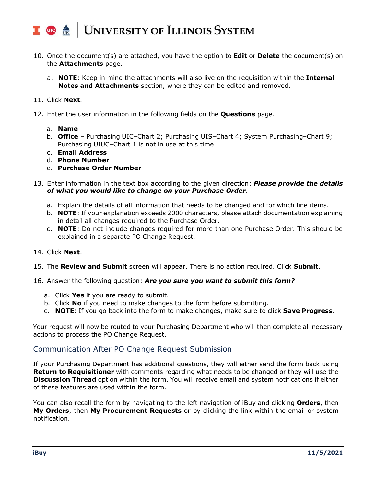## UNIVERSITY OF ILLINOIS SYSTEM T due de

- 10. Once the document(s) are attached, you have the option to **Edit** or **Delete** the document(s) on the **Attachments** page.
	- a. **NOTE**: Keep in mind the attachments will also live on the requisition within the **Internal Notes and Attachments** section, where they can be edited and removed.

## 11. Click **Next**.

- 12. Enter the user information in the following fields on the **Questions** page.
	- a. **Name**
	- b. **Office** Purchasing UIC–Chart 2; Purchasing UIS–Chart 4; System Purchasing–Chart 9; Purchasing UIUC–Chart 1 is not in use at this time
	- c. **Email Address**
	- d. **Phone Number**
	- e. **Purchase Order Number**
- 13. Enter information in the text box according to the given direction: *Please provide the details of what you would like to change on your Purchase Order*.
	- a. Explain the details of all information that needs to be changed and for which line items.
	- b. **NOTE**: If your explanation exceeds 2000 characters, please attach documentation explaining in detail all changes required to the Purchase Order.
	- c. **NOTE**: Do not include changes required for more than one Purchase Order. This should be explained in a separate PO Change Request.

### 14. Click **Next**.

15. The **Review and Submit** screen will appear. There is no action required. Click **Submit**.

### 16. Answer the following question: *Are you sure you want to submit this form?*

- a. Click **Yes** if you are ready to submit.
- b. Click **No** if you need to make changes to the form before submitting.
- c. **NOTE**: If you go back into the form to make changes, make sure to click **Save Progress**.

Your request will now be routed to your Purchasing Department who will then complete all necessary actions to process the PO Change Request.

# Communication After PO Change Request Submission

If your Purchasing Department has additional questions, they will either send the form back using **Return to Requisitioner** with comments regarding what needs to be changed or they will use the **Discussion Thread** option within the form. You will receive email and system notifications if either of these features are used within the form.

You can also recall the form by navigating to the left navigation of iBuy and clicking **Orders**, then **My Orders**, then **My Procurement Requests** or by clicking the link within the email or system notification.